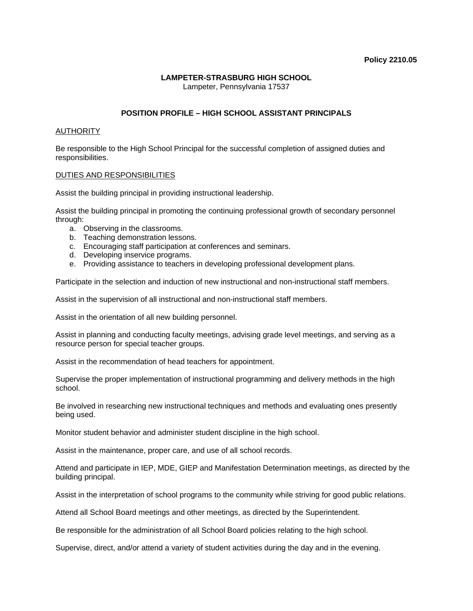## **LAMPETER-STRASBURG HIGH SCHOOL**

Lampeter, Pennsylvania 17537

## **POSITION PROFILE – HIGH SCHOOL ASSISTANT PRINCIPALS**

## **AUTHORITY**

Be responsible to the High School Principal for the successful completion of assigned duties and responsibilities.

## DUTIES AND RESPONSIBILITIES

Assist the building principal in providing instructional leadership.

Assist the building principal in promoting the continuing professional growth of secondary personnel through:

- a. Observing in the classrooms.
- b. Teaching demonstration lessons.
- c. Encouraging staff participation at conferences and seminars.
- d. Developing inservice programs.
- e. Providing assistance to teachers in developing professional development plans.

Participate in the selection and induction of new instructional and non-instructional staff members.

Assist in the supervision of all instructional and non-instructional staff members.

Assist in the orientation of all new building personnel.

Assist in planning and conducting faculty meetings, advising grade level meetings, and serving as a resource person for special teacher groups.

Assist in the recommendation of head teachers for appointment.

Supervise the proper implementation of instructional programming and delivery methods in the high school.

Be involved in researching new instructional techniques and methods and evaluating ones presently being used.

Monitor student behavior and administer student discipline in the high school.

Assist in the maintenance, proper care, and use of all school records.

Attend and participate in IEP, MDE, GIEP and Manifestation Determination meetings, as directed by the building principal.

Assist in the interpretation of school programs to the community while striving for good public relations.

Attend all School Board meetings and other meetings, as directed by the Superintendent.

Be responsible for the administration of all School Board policies relating to the high school.

Supervise, direct, and/or attend a variety of student activities during the day and in the evening.